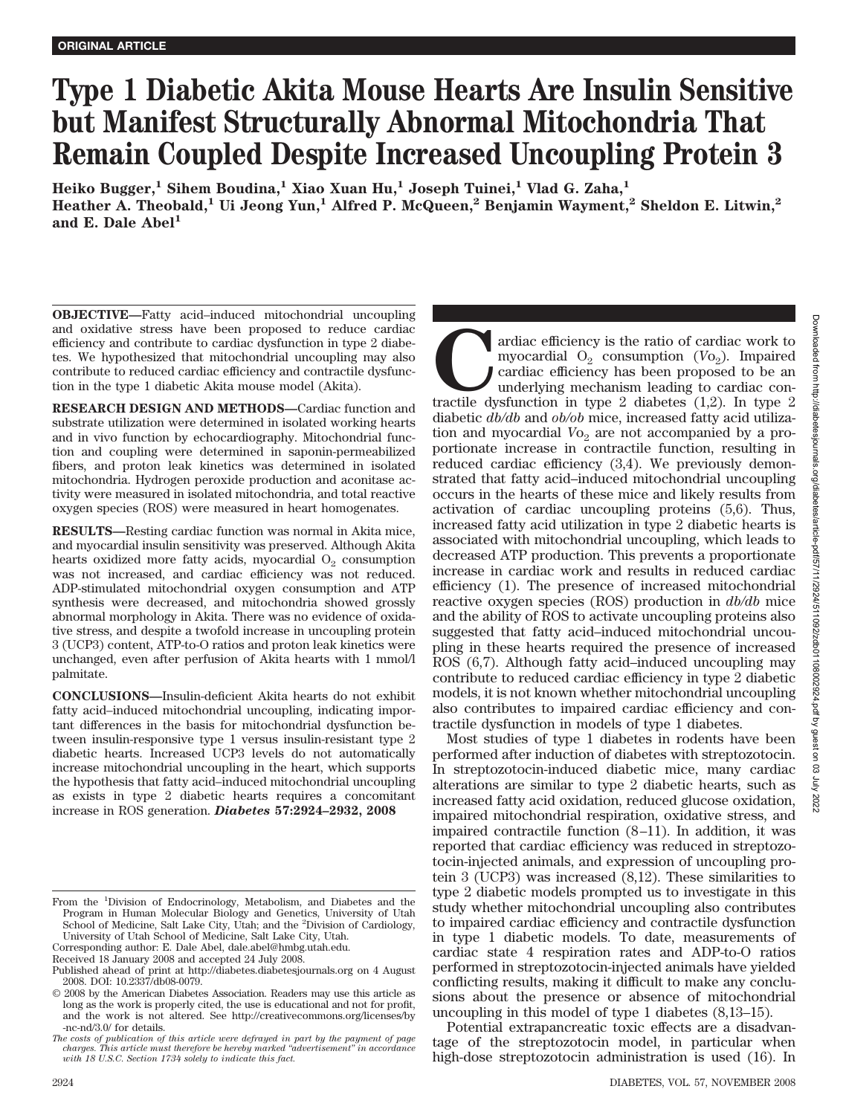# **Type 1 Diabetic Akita Mouse Hearts Are Insulin Sensitive but Manifest Structurally Abnormal Mitochondria That Remain Coupled Despite Increased Uncoupling Protein 3**

**Heiko Bugger,1 Sihem Boudina,1 Xiao Xuan Hu,1 Joseph Tuinei,1 Vlad G. Zaha,1** Heather A. Theobald,<sup>1</sup> Ui Jeong Yun,<sup>1</sup> Alfred P. McQueen,<sup>2</sup> Benjamin Wayment,<sup>2</sup> Sheldon E. Litwin,<sup>2</sup> and E. Dale Abel<sup>1</sup>

**OBJECTIVE—**Fatty acid–induced mitochondrial uncoupling and oxidative stress have been proposed to reduce cardiac efficiency and contribute to cardiac dysfunction in type 2 diabetes. We hypothesized that mitochondrial uncoupling may also contribute to reduced cardiac efficiency and contractile dysfunction in the type 1 diabetic Akita mouse model (Akita).

**RESEARCH DESIGN AND METHODS—**Cardiac function and substrate utilization were determined in isolated working hearts and in vivo function by echocardiography. Mitochondrial function and coupling were determined in saponin-permeabilized fibers, and proton leak kinetics was determined in isolated mitochondria. Hydrogen peroxide production and aconitase activity were measured in isolated mitochondria, and total reactive oxygen species (ROS) were measured in heart homogenates.

**RESULTS—**Resting cardiac function was normal in Akita mice, and myocardial insulin sensitivity was preserved. Although Akita hearts oxidized more fatty acids, myocardial  $O<sub>2</sub>$  consumption was not increased, and cardiac efficiency was not reduced. ADP-stimulated mitochondrial oxygen consumption and ATP synthesis were decreased, and mitochondria showed grossly abnormal morphology in Akita. There was no evidence of oxidative stress, and despite a twofold increase in uncoupling protein 3 (UCP3) content, ATP-to-O ratios and proton leak kinetics were unchanged, even after perfusion of Akita hearts with 1 mmol/l palmitate.

**CONCLUSIONS—**Insulin-deficient Akita hearts do not exhibit fatty acid–induced mitochondrial uncoupling, indicating important differences in the basis for mitochondrial dysfunction between insulin-responsive type 1 versus insulin-resistant type 2 diabetic hearts. Increased UCP3 levels do not automatically increase mitochondrial uncoupling in the heart, which supports the hypothesis that fatty acid–induced mitochondrial uncoupling as exists in type 2 diabetic hearts requires a concomitant increase in ROS generation. *Diabetes* **57:2924–2932, 2008**

Received 18 January 2008 and accepted 24 July 2008.

ardiac efficiency is the ratio of cardiac work to myocardial  $O_2$  consumption ( $Vo_2$ ). Impaired cardiac efficiency has been proposed to be an underlying mechanism leading to cardiac contractile dysfunction in type 2 diabe myocardial  $O_2$  consumption ( $V_2$ ). Impaired cardiac efficiency has been proposed to be an underlying mechanism leading to cardiac condiabetic *db/db* and *ob/ob* mice, increased fatty acid utilization and myocardial  $V_0$  are not accompanied by a proportionate increase in contractile function, resulting in reduced cardiac efficiency (3,4). We previously demonstrated that fatty acid–induced mitochondrial uncoupling occurs in the hearts of these mice and likely results from activation of cardiac uncoupling proteins (5,6). Thus, increased fatty acid utilization in type 2 diabetic hearts is associated with mitochondrial uncoupling, which leads to decreased ATP production. This prevents a proportionate increase in cardiac work and results in reduced cardiac efficiency (1). The presence of increased mitochondrial reactive oxygen species (ROS) production in *db/db* mice and the ability of ROS to activate uncoupling proteins also suggested that fatty acid–induced mitochondrial uncoupling in these hearts required the presence of increased ROS (6,7). Although fatty acid–induced uncoupling may contribute to reduced cardiac efficiency in type 2 diabetic models, it is not known whether mitochondrial uncoupling also contributes to impaired cardiac efficiency and contractile dysfunction in models of type 1 diabetes.

Most studies of type 1 diabetes in rodents have been performed after induction of diabetes with streptozotocin. In streptozotocin-induced diabetic mice, many cardiac alterations are similar to type 2 diabetic hearts, such as increased fatty acid oxidation, reduced glucose oxidation, impaired mitochondrial respiration, oxidative stress, and impaired contractile function (8–11). In addition, it was reported that cardiac efficiency was reduced in streptozotocin-injected animals, and expression of uncoupling protein 3 (UCP3) was increased (8,12). These similarities to type 2 diabetic models prompted us to investigate in this study whether mitochondrial uncoupling also contributes to impaired cardiac efficiency and contractile dysfunction in type 1 diabetic models. To date, measurements of cardiac state 4 respiration rates and ADP-to-O ratios performed in streptozotocin-injected animals have yielded conflicting results, making it difficult to make any conclusions about the presence or absence of mitochondrial uncoupling in this model of type 1 diabetes (8,13–15).

Potential extrapancreatic toxic effects are a disadvantage of the streptozotocin model, in particular when high-dose streptozotocin administration is used (16). In

From the <sup>1</sup>Division of Endocrinology, Metabolism, and Diabetes and the Program in Human Molecular Biology and Genetics, University of Utah School of Medicine, Salt Lake City, Utah; and the <sup>2</sup>Division of Cardiology, University of Utah School of Medicine, Salt Lake City, Utah.

Corresponding author: E. Dale Abel, dale.abel@hmbg.utah.edu.

Published ahead of print at http://diabetes.diabetesjournals.org on 4 August 2008. DOI: 10.2337/db08-0079.

<sup>© 2008</sup> by the American Diabetes Association. Readers may use this article as long as the work is properly cited, the use is educational and not for profit, and the work is not altered. See http://creativecommons.org/licenses/by -nc-nd/3.0/ for details.

*The costs of publication of this article were defrayed in part by the payment of page charges. This article must therefore be hereby marked "advertisement" in accordance with 18 U.S.C. Section 1734 solely to indicate this fact.*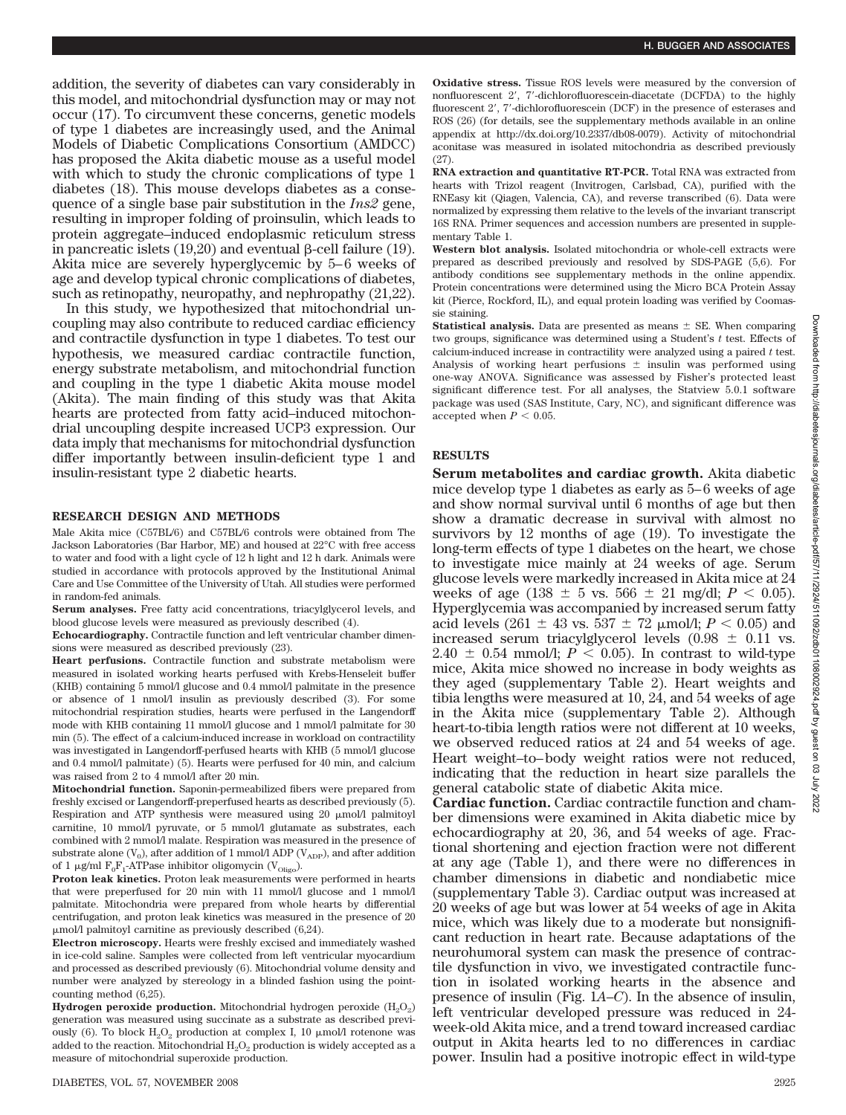addition, the severity of diabetes can vary considerably in this model, and mitochondrial dysfunction may or may not occur (17). To circumvent these concerns, genetic models of type 1 diabetes are increasingly used, and the Animal Models of Diabetic Complications Consortium (AMDCC) has proposed the Akita diabetic mouse as a useful model with which to study the chronic complications of type 1 diabetes (18). This mouse develops diabetes as a consequence of a single base pair substitution in the *Ins2* gene, resulting in improper folding of proinsulin, which leads to protein aggregate–induced endoplasmic reticulum stress in pancreatic islets  $(19,20)$  and eventual  $\beta$ -cell failure  $(19)$ . Akita mice are severely hyperglycemic by 5–6 weeks of age and develop typical chronic complications of diabetes, such as retinopathy, neuropathy, and nephropathy (21,22).

In this study, we hypothesized that mitochondrial uncoupling may also contribute to reduced cardiac efficiency and contractile dysfunction in type 1 diabetes. To test our hypothesis, we measured cardiac contractile function, energy substrate metabolism, and mitochondrial function and coupling in the type 1 diabetic Akita mouse model (Akita). The main finding of this study was that Akita hearts are protected from fatty acid–induced mitochondrial uncoupling despite increased UCP3 expression. Our data imply that mechanisms for mitochondrial dysfunction differ importantly between insulin-deficient type 1 and insulin-resistant type 2 diabetic hearts.

### **RESEARCH DESIGN AND METHODS**

Male Akita mice (C57BL/6) and C57BL/6 controls were obtained from The Jackson Laboratories (Bar Harbor, ME) and housed at 22°C with free access to water and food with a light cycle of 12 h light and 12 h dark. Animals were studied in accordance with protocols approved by the Institutional Animal Care and Use Committee of the University of Utah. All studies were performed in random-fed animals.

**Serum analyses.** Free fatty acid concentrations, triacylglycerol levels, and blood glucose levels were measured as previously described (4).

**Echocardiography.** Contractile function and left ventricular chamber dimensions were measured as described previously (23).

**Heart perfusions.** Contractile function and substrate metabolism were measured in isolated working hearts perfused with Krebs-Henseleit buffer (KHB) containing 5 mmol/l glucose and 0.4 mmol/l palmitate in the presence or absence of 1 nmol/l insulin as previously described (3). For some mitochondrial respiration studies, hearts were perfused in the Langendorff mode with KHB containing 11 mmol/l glucose and 1 mmol/l palmitate for 30 min (5). The effect of a calcium-induced increase in workload on contractility was investigated in Langendorff-perfused hearts with KHB (5 mmol/l glucose and 0.4 mmol/l palmitate) (5). Hearts were perfused for 40 min, and calcium was raised from 2 to 4 mmol/l after 20 min.

**Mitochondrial function.** Saponin-permeabilized fibers were prepared from freshly excised or Langendorff-preperfused hearts as described previously (5). Respiration and ATP synthesis were measured using  $20 \mu$ mol/l palmitoyl carnitine, 10 mmol/l pyruvate, or 5 mmol/l glutamate as substrates, each combined with 2 mmol/l malate. Respiration was measured in the presence of substrate alone  $(V_0)$ , after addition of 1 mmol/l ADP  $(V_{ADP})$ , and after addition of 1  $\mu$ g/ml  $F_0F_1$ -ATPase inhibitor oligomycin (V<sub>Oligo</sub>).

**Proton leak kinetics.** Proton leak measurements were performed in hearts that were preperfused for 20 min with 11 mmol/l glucose and 1 mmol/l palmitate. Mitochondria were prepared from whole hearts by differential centrifugation, and proton leak kinetics was measured in the presence of 20 -mol/l palmitoyl carnitine as previously described (6,24).

**Electron microscopy.** Hearts were freshly excised and immediately washed in ice-cold saline. Samples were collected from left ventricular myocardium and processed as described previously (6). Mitochondrial volume density and number were analyzed by stereology in a blinded fashion using the pointcounting method (6,25).

**Hydrogen peroxide production.** Mitochondrial hydrogen peroxide  $(H_2O_2)$ generation was measured using succinate as a substrate as described previously (6). To block  $H_2O_2$  production at complex I, 10  $\mu$ mol/l rotenone was added to the reaction. Mitochondrial  $H_2O_2$  production is widely accepted as a measure of mitochondrial superoxide production.

**Oxidative stress.** Tissue ROS levels were measured by the conversion of nonfluorescent 2', 7'-dichlorofluorescein-diacetate (DCFDA) to the highly fluorescent 2', 7'-dichlorofluorescein (DCF) in the presence of esterases and ROS (26) (for details, see the supplementary methods available in an online appendix at http://dx.doi.org/10.2337/db08-0079). Activity of mitochondrial aconitase was measured in isolated mitochondria as described previously (27).

**RNA extraction and quantitative RT-PCR.** Total RNA was extracted from hearts with Trizol reagent (Invitrogen, Carlsbad, CA), purified with the RNEasy kit (Qiagen, Valencia, CA), and reverse transcribed (6). Data were normalized by expressing them relative to the levels of the invariant transcript 16S RNA. Primer sequences and accession numbers are presented in supplementary Table 1.

**Western blot analysis.** Isolated mitochondria or whole-cell extracts were prepared as described previously and resolved by SDS-PAGE (5,6). For antibody conditions see supplementary methods in the online appendix. Protein concentrations were determined using the Micro BCA Protein Assay kit (Pierce, Rockford, IL), and equal protein loading was verified by Coomassie staining.

**Statistical analysis.** Data are presented as means  $\pm$  SE. When comparing two groups, significance was determined using a Student's *t* test. Effects of calcium-induced increase in contractility were analyzed using a paired *t* test. Analysis of working heart perfusions  $\pm$  insulin was performed using one-way ANOVA. Significance was assessed by Fisher's protected least significant difference test. For all analyses, the Statview 5.0.1 software package was used (SAS Institute, Cary, NC), and significant difference was accepted when  $P < 0.05$ .

#### **RESULTS**

**Serum metabolites and cardiac growth.** Akita diabetic mice develop type 1 diabetes as early as 5–6 weeks of age and show normal survival until 6 months of age but then show a dramatic decrease in survival with almost no survivors by 12 months of age (19). To investigate the long-term effects of type 1 diabetes on the heart, we chose to investigate mice mainly at 24 weeks of age. Serum glucose levels were markedly increased in Akita mice at 24 weeks of age (138  $\pm$  5 vs. 566  $\pm$  21 mg/dl; *P* < 0.05). Hyperglycemia was accompanied by increased serum fatty acid levels  $(261 \pm 43 \text{ vs. } 537 \pm 72 \text{ }\mu\text{mol/l}; P < 0.05)$  and increased serum triacylglycerol levels  $(0.98 \pm 0.11 \text{ vs.})$ 2.40  $\pm$  0.54 mmol/l;  $P < 0.05$ ). In contrast to wild-type mice, Akita mice showed no increase in body weights as they aged (supplementary Table 2). Heart weights and tibia lengths were measured at 10, 24, and 54 weeks of age in the Akita mice (supplementary Table 2). Although heart-to-tibia length ratios were not different at 10 weeks, we observed reduced ratios at 24 and 54 weeks of age. Heart weight–to–body weight ratios were not reduced, indicating that the reduction in heart size parallels the general catabolic state of diabetic Akita mice.

**Cardiac function.** Cardiac contractile function and chamber dimensions were examined in Akita diabetic mice by echocardiography at 20, 36, and 54 weeks of age. Fractional shortening and ejection fraction were not different at any age (Table 1), and there were no differences in chamber dimensions in diabetic and nondiabetic mice (supplementary Table 3). Cardiac output was increased at 20 weeks of age but was lower at 54 weeks of age in Akita mice, which was likely due to a moderate but nonsignificant reduction in heart rate. Because adaptations of the neurohumoral system can mask the presence of contractile dysfunction in vivo, we investigated contractile function in isolated working hearts in the absence and presence of insulin (Fig. 1*A*–*C*). In the absence of insulin, left ventricular developed pressure was reduced in 24 week-old Akita mice, and a trend toward increased cardiac output in Akita hearts led to no differences in cardiac power. Insulin had a positive inotropic effect in wild-type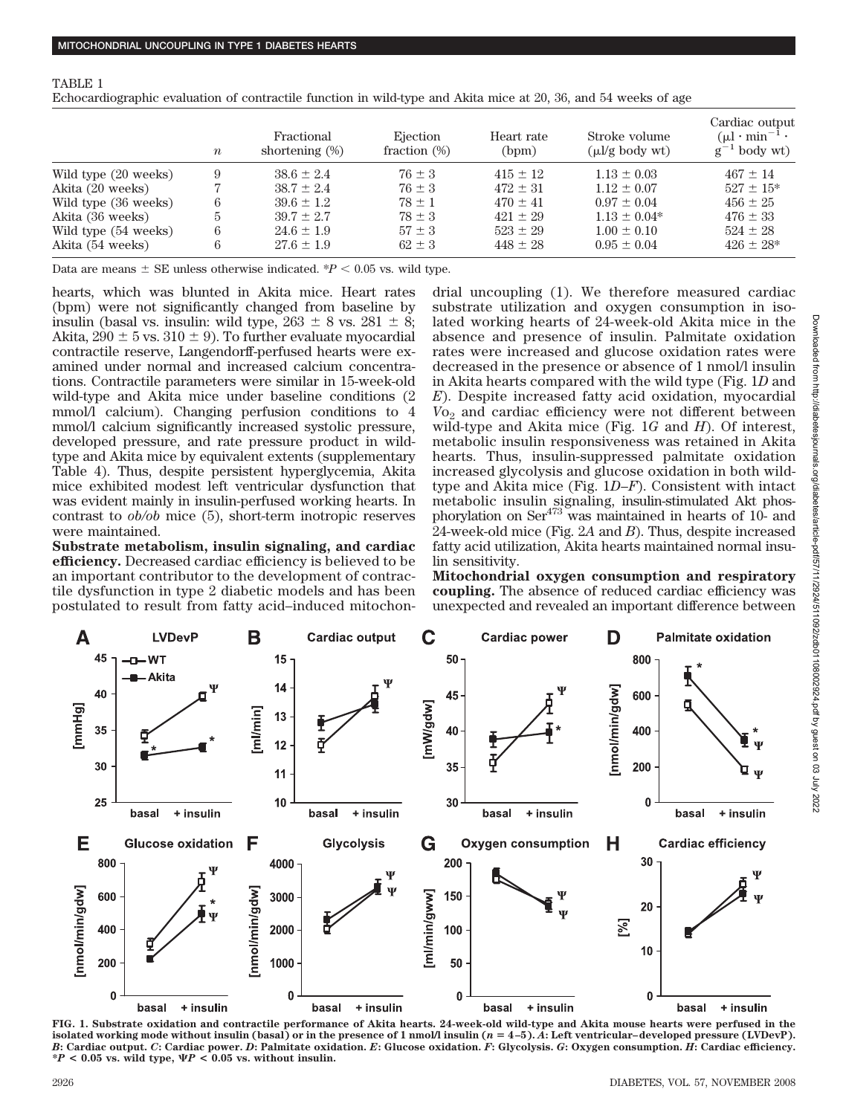Echocardiographic evaluation of contractile function in wild-type and Akita mice at 20, 36, and 54 weeks of age

|                      | $\boldsymbol{n}$ | Fractional<br>shortening $(\%)$ | Ejection<br>fraction $(\%)$ | Heart rate<br>(bpm) | Stroke volume<br>$(\mu l/g \text{ body wt})$ | Cardiac output<br>$(\mu l \cdot \min^{-1} \cdot$<br>$g^{-1}$ body wt) |
|----------------------|------------------|---------------------------------|-----------------------------|---------------------|----------------------------------------------|-----------------------------------------------------------------------|
| Wild type (20 weeks) | 9                | $38.6 \pm 2.4$                  | $76 \pm 3$                  | $415 \pm 12$        | $1.13 \pm 0.03$                              | $467 \pm 14$                                                          |
| Akita (20 weeks)     |                  | $38.7 \pm 2.4$                  | $76 \pm 3$                  | $472 \pm 31$        | $1.12 \pm 0.07$                              | $527 \pm 15*$                                                         |
| Wild type (36 weeks) | 6                | $39.6 \pm 1.2$                  | $78 \pm 1$                  | $470 \pm 41$        | $0.97 \pm 0.04$                              | $456 \pm 25$                                                          |
| Akita (36 weeks)     | 5                | $39.7 \pm 2.7$                  | $78 \pm 3$                  | $421 \pm 29$        | $1.13 \pm 0.04*$                             | $476 \pm 33$                                                          |
| Wild type (54 weeks) | 6                | $24.6 \pm 1.9$                  | $57 \pm 3$                  | $523 \pm 29$        | $1.00 \pm 0.10$                              | $524 \pm 28$                                                          |
| Akita (54 weeks)     | 6                | $27.6 \pm 1.9$                  | $62 \pm 3$                  | $448 \pm 28$        | $0.95 \pm 0.04$                              | $426 \pm 28^*$                                                        |

Data are means  $\pm$  SE unless otherwise indicated.  $P < 0.05$  vs. wild type.

hearts, which was blunted in Akita mice. Heart rates (bpm) were not significantly changed from baseline by insulin (basal vs. insulin: wild type,  $263 \pm 8$  vs.  $281 \pm 8$ ; Akita,  $290 \pm 5$  vs.  $310 \pm 9$ ). To further evaluate myocardial contractile reserve, Langendorff-perfused hearts were examined under normal and increased calcium concentrations. Contractile parameters were similar in 15-week-old wild-type and Akita mice under baseline conditions (2 mmol/l calcium). Changing perfusion conditions to 4 mmol/l calcium significantly increased systolic pressure, developed pressure, and rate pressure product in wildtype and Akita mice by equivalent extents (supplementary Table 4). Thus, despite persistent hyperglycemia, Akita mice exhibited modest left ventricular dysfunction that was evident mainly in insulin-perfused working hearts. In contrast to *ob/ob* mice (5), short-term inotropic reserves were maintained.

**Substrate metabolism, insulin signaling, and cardiac efficiency.** Decreased cardiac efficiency is believed to be an important contributor to the development of contractile dysfunction in type 2 diabetic models and has been postulated to result from fatty acid–induced mitochondrial uncoupling (1). We therefore measured cardiac substrate utilization and oxygen consumption in isolated working hearts of 24-week-old Akita mice in the absence and presence of insulin. Palmitate oxidation rates were increased and glucose oxidation rates were decreased in the presence or absence of 1 nmol/l insulin in Akita hearts compared with the wild type (Fig. 1*D* and *E*). Despite increased fatty acid oxidation, myocardial *V*<sub>o<sub>2</sub> and cardiac efficiency were not different between</sub> wild-type and Akita mice (Fig. 1*G* and *H*). Of interest, metabolic insulin responsiveness was retained in Akita hearts. Thus, insulin-suppressed palmitate oxidation increased glycolysis and glucose oxidation in both wildtype and Akita mice (Fig. 1*D*–*F*). Consistent with intact metabolic insulin signaling, insulin-stimulated Akt phosphorylation on  $\text{Ser}^{473}$  was maintained in hearts of 10- and 24-week-old mice (Fig. 2*A* and *B*). Thus, despite increased fatty acid utilization, Akita hearts maintained normal insulin sensitivity.

**Mitochondrial oxygen consumption and respiratory coupling.** The absence of reduced cardiac efficiency was unexpected and revealed an important difference between



**FIG. 1. Substrate oxidation and contractile performance of Akita hearts. 24-week-old wild-type and Akita mouse hearts were perfused in the isolated working mode without insulin (basal) or in the presence of 1 nmol/l insulin (***n* **4–5).** *A***: Left ventricular–developed pressure (LVDevP).** B: Cardiac output. C: Cardiac power. D: Palmitate oxidation. E: Glucose oxidation. F: Glycolysis. G: Oxygen consumption. H: Cardiac efficiency.  $*P < 0.05$  vs. wild type,  $\Psi P < 0.05$  vs. without insulin.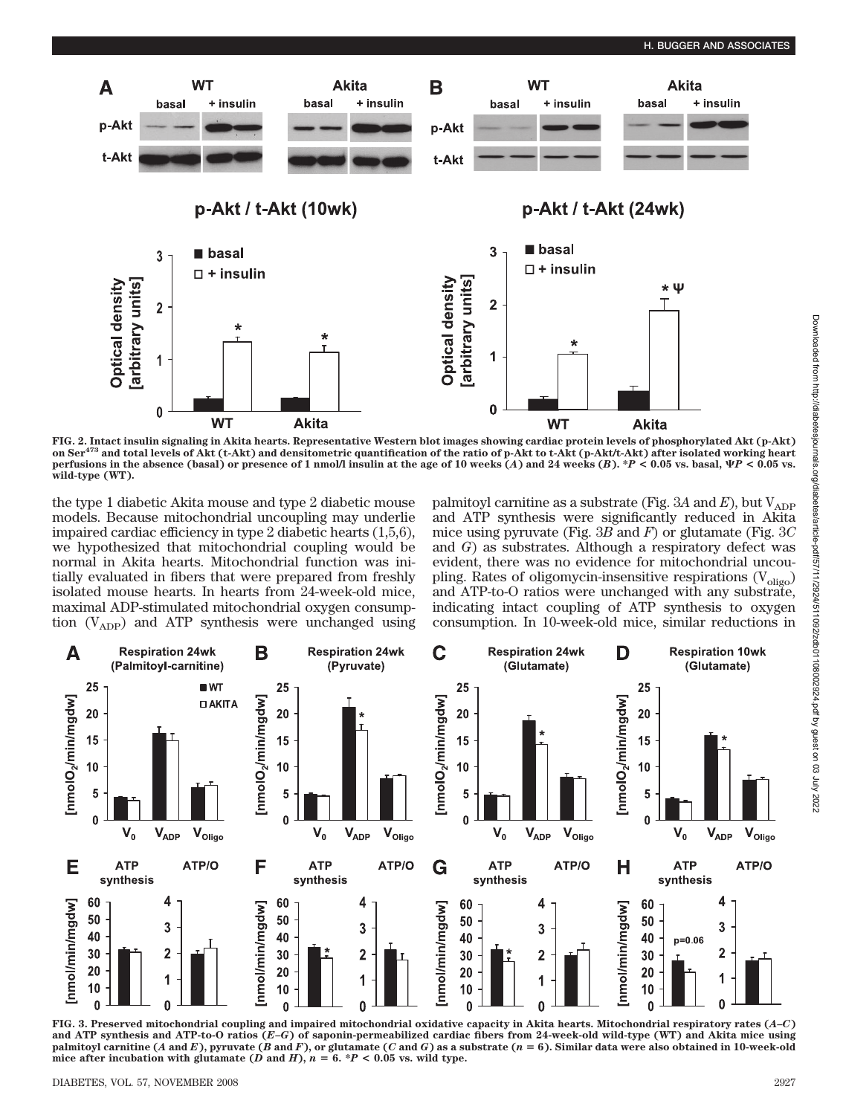

FIG. 2. Intact insulin signaling in Akita hearts. Representative Western blot images showing cardiac protein levels of phosphorylated Akt (p-Akt)<br>on Ser<sup>473</sup> and total levels of Akt (t-Akt) and densitometric quantification **perfusions in the absence (basal) or presence of 1 nmol/l insulin at the age of 10 weeks (***A***) and 24 weeks (***B***).**  $^{\ast}P$  **< 0.05 vs. basal,**  $\Psi P$  **< 0.05 vs. wild-type (WT).**

the type 1 diabetic Akita mouse and type 2 diabetic mouse models. Because mitochondrial uncoupling may underlie impaired cardiac efficiency in type 2 diabetic hearts (1,5,6), we hypothesized that mitochondrial coupling would be normal in Akita hearts. Mitochondrial function was initially evaluated in fibers that were prepared from freshly isolated mouse hearts. In hearts from 24-week-old mice, maximal ADP-stimulated mitochondrial oxygen consumption  $(V_{ADP})$  and ATP synthesis were unchanged using palmitoyl carnitine as a substrate (Fig.  $3A$  and  $E$ ), but  $V_{ADP}$ and ATP synthesis were significantly reduced in Akita mice using pyruvate (Fig. 3*B* and *F*) or glutamate (Fig. 3*C* and *G*) as substrates. Although a respiratory defect was evident, there was no evidence for mitochondrial uncoupling. Rates of oligomycin-insensitive respirations  $(V_{\text{olig}})$ and ATP-to-O ratios were unchanged with any substrate, indicating intact coupling of ATP synthesis to oxygen consumption. In 10-week-old mice, similar reductions in



**FIG. 3. Preserved mitochondrial coupling and impaired mitochondrial oxidative capacity in Akita hearts. Mitochondrial respiratory rates (***A–C***) and ATP synthesis and ATP-to-O ratios (***E–G***) of saponin-permeabilized cardiac fibers from 24-week-old wild-type (WT) and Akita mice using** palmitoyl carnitine (A and E), pyruvate (B and F), or glutamate (C and G) as a substrate ( $n = 6$ ). Similar data were also obtained in 10-week-old mice after incubation with glutamate  $(D \text{ and } H)$ ,  $n = 6$ .  $*P < 0.05$  vs. wild type.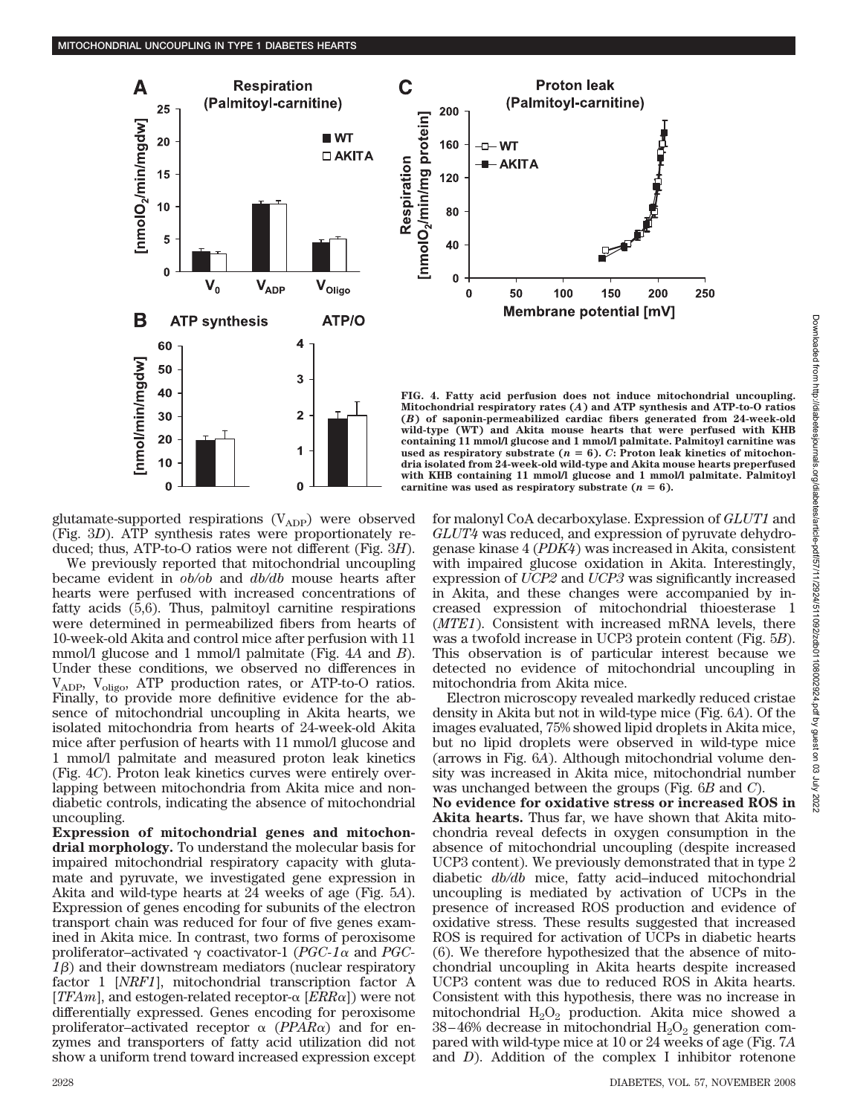

**Proton leak** (Palmitoyl-carnitine) 200 160  $-$  WT - AKITA 120 80 40 O  $\bf{0}$ 50 100 150 200 250 **Membrane potential [mV]** 

**FIG. 4. Fatty acid perfusion does not induce mitochondrial uncoupling. Mitochondrial respiratory rates (***A***) and ATP synthesis and ATP-to-O ratios (***B***) of saponin-permeabilized cardiac fibers generated from 24-week-old wild-type (WT) and Akita mouse hearts that were perfused with KHB containing 11 mmol/l glucose and 1 mmol/l palmitate. Palmitoyl carnitine was** used as respiratory substrate  $(n = 6)$ . *C*: Proton leak kinetics of mitochon**dria isolated from 24-week-old wild-type and Akita mouse hearts preperfused with KHB containing 11 mmol/l glucose and 1 mmol/l palmitate. Palmitoyl** carnitine was used as respiratory substrate  $(n = 6)$ .

glutamate-supported respirations  $(V_{ADP})$  were observed (Fig. 3*D*). ATP synthesis rates were proportionately reduced; thus, ATP-to-O ratios were not different (Fig. 3*H*).

We previously reported that mitochondrial uncoupling became evident in *ob/ob* and *db/db* mouse hearts after hearts were perfused with increased concentrations of fatty acids (5,6). Thus, palmitoyl carnitine respirations were determined in permeabilized fibers from hearts of 10-week-old Akita and control mice after perfusion with 11 mmol/l glucose and 1 mmol/l palmitate (Fig. 4*A* and *B*). Under these conditions, we observed no differences in  $V_{ADP}$ ,  $V_{oligo}$ , ATP production rates, or ATP-to-O ratios. Finally, to provide more definitive evidence for the absence of mitochondrial uncoupling in Akita hearts, we isolated mitochondria from hearts of 24-week-old Akita mice after perfusion of hearts with 11 mmol/l glucose and 1 mmol/l palmitate and measured proton leak kinetics (Fig. 4*C*). Proton leak kinetics curves were entirely overlapping between mitochondria from Akita mice and nondiabetic controls, indicating the absence of mitochondrial uncoupling.

**Expression of mitochondrial genes and mitochondrial morphology.** To understand the molecular basis for impaired mitochondrial respiratory capacity with glutamate and pyruvate, we investigated gene expression in Akita and wild-type hearts at 24 weeks of age (Fig. 5*A*). Expression of genes encoding for subunits of the electron transport chain was reduced for four of five genes examined in Akita mice. In contrast, two forms of peroxisome proliferator–activated  $\gamma$  coactivator-1 (*PGC-1* $\alpha$  and *PGC-* $1\beta$ ) and their downstream mediators (nuclear respiratory factor 1 [*NRF1*], mitochondrial transcription factor A [*TFAm*], and estogen-related receptor- $\alpha$  [*ERR* $\alpha$ ]) were not differentially expressed. Genes encoding for peroxisome proliferator–activated receptor  $\alpha$  (*PPAR* $\alpha$ ) and for enzymes and transporters of fatty acid utilization did not show a uniform trend toward increased expression except for malonyl CoA decarboxylase. Expression of *GLUT1* and *GLUT4* was reduced, and expression of pyruvate dehydrogenase kinase 4 (*PDK4*) was increased in Akita, consistent with impaired glucose oxidation in Akita. Interestingly, expression of *UCP2* and *UCP3* was significantly increased in Akita, and these changes were accompanied by increased expression of mitochondrial thioesterase 1 (*MTE1*). Consistent with increased mRNA levels, there was a twofold increase in UCP3 protein content (Fig. 5*B*). This observation is of particular interest because we detected no evidence of mitochondrial uncoupling in mitochondria from Akita mice.

Electron microscopy revealed markedly reduced cristae density in Akita but not in wild-type mice (Fig. 6*A*). Of the images evaluated, 75% showed lipid droplets in Akita mice, but no lipid droplets were observed in wild-type mice (arrows in Fig. 6*A*). Although mitochondrial volume density was increased in Akita mice, mitochondrial number was unchanged between the groups (Fig. 6*B* and *C*). **No evidence for oxidative stress or increased ROS in Akita hearts.** Thus far, we have shown that Akita mitochondria reveal defects in oxygen consumption in the absence of mitochondrial uncoupling (despite increased UCP3 content). We previously demonstrated that in type 2 diabetic *db/db* mice, fatty acid–induced mitochondrial uncoupling is mediated by activation of UCPs in the presence of increased ROS production and evidence of oxidative stress. These results suggested that increased ROS is required for activation of UCPs in diabetic hearts (6). We therefore hypothesized that the absence of mitochondrial uncoupling in Akita hearts despite increased UCP3 content was due to reduced ROS in Akita hearts. Consistent with this hypothesis, there was no increase in mitochondrial  $H_2O_2$  production. Akita mice showed a  $38-46%$  decrease in mitochondrial  $H_2O_2$  generation compared with wild-type mice at 10 or 24 weeks of age (Fig. 7*A* and *D*). Addition of the complex I inhibitor rotenone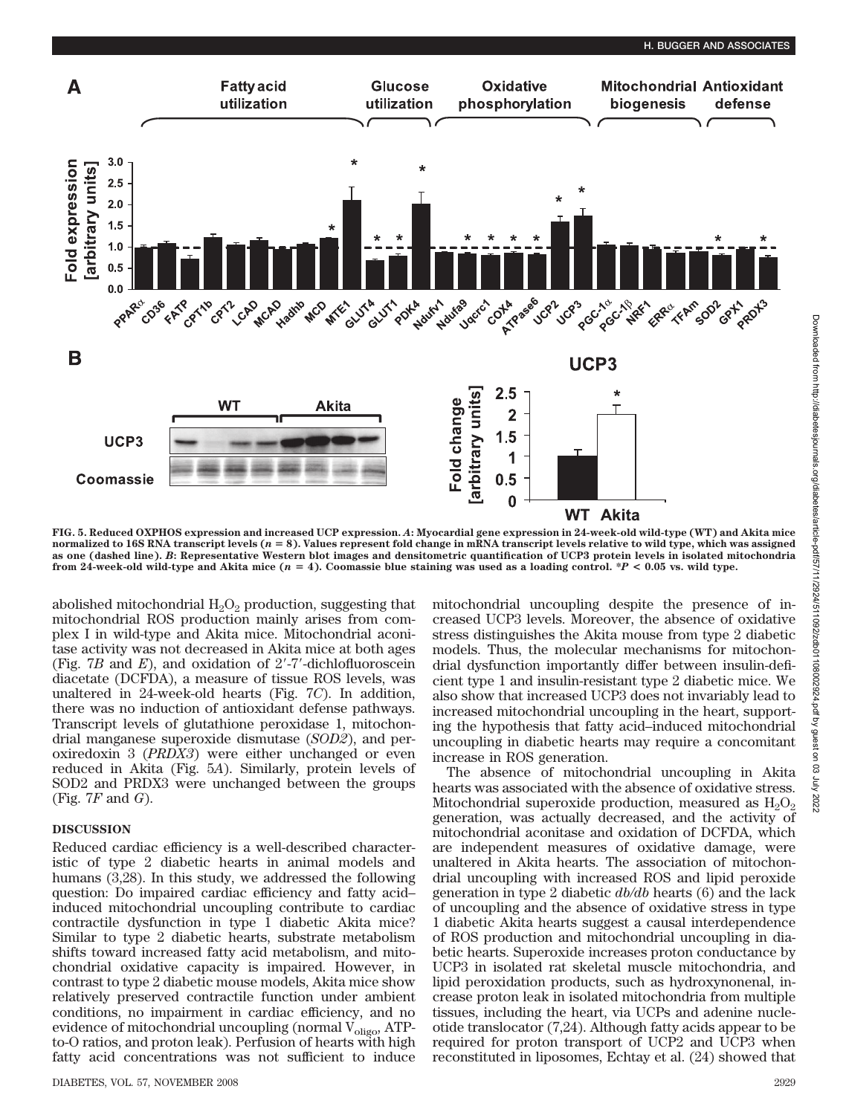

**FIG. 5. Reduced OXPHOS expression and increased UCP expression.** *A***: Myocardial gene expression in 24-week-old wild-type (WT) and Akita mice** normalized to 16S RNA transcript levels (n = 8). Values represent fold change in mRNA transcript levels relative to wild type, which was assigned<br>as one (dashed line). B: Representative Western blot images and densitometri **from 24-week-old wild-type and Akita mice (***n* **4). Coomassie blue staining was used as a loading control. \****P* **< 0.05 vs. wild type.**

abolished mitochondrial  $H_2O_2$  production, suggesting that mitochondrial ROS production mainly arises from complex I in wild-type and Akita mice. Mitochondrial aconitase activity was not decreased in Akita mice at both ages (Fig. 7*B* and *E*), and oxidation of 2-7-dichlofluoroscein diacetate (DCFDA), a measure of tissue ROS levels, was unaltered in 24-week-old hearts (Fig. 7*C*). In addition, there was no induction of antioxidant defense pathways. Transcript levels of glutathione peroxidase 1, mitochondrial manganese superoxide dismutase (*SOD2*), and peroxiredoxin 3 (*PRDX3*) were either unchanged or even reduced in Akita (Fig. 5*A*). Similarly, protein levels of SOD2 and PRDX3 were unchanged between the groups (Fig. 7*F* and *G*).

# **DISCUSSION**

Reduced cardiac efficiency is a well-described characteristic of type 2 diabetic hearts in animal models and humans (3,28). In this study, we addressed the following question: Do impaired cardiac efficiency and fatty acid– induced mitochondrial uncoupling contribute to cardiac contractile dysfunction in type 1 diabetic Akita mice? Similar to type 2 diabetic hearts, substrate metabolism shifts toward increased fatty acid metabolism, and mitochondrial oxidative capacity is impaired. However, in contrast to type 2 diabetic mouse models, Akita mice show relatively preserved contractile function under ambient conditions, no impairment in cardiac efficiency, and no evidence of mitochondrial uncoupling (normal  $V_{\text{oligo}}$ , ATPto-O ratios, and proton leak). Perfusion of hearts with high fatty acid concentrations was not sufficient to induce

mitochondrial uncoupling despite the presence of increased UCP3 levels. Moreover, the absence of oxidative stress distinguishes the Akita mouse from type 2 diabetic models. Thus, the molecular mechanisms for mitochondrial dysfunction importantly differ between insulin-deficient type 1 and insulin-resistant type 2 diabetic mice. We also show that increased UCP3 does not invariably lead to increased mitochondrial uncoupling in the heart, supporting the hypothesis that fatty acid–induced mitochondrial uncoupling in diabetic hearts may require a concomitant increase in ROS generation.

The absence of mitochondrial uncoupling in Akita hearts was associated with the absence of oxidative stress. Mitochondrial superoxide production, measured as  $H_2O_2$ generation, was actually decreased, and the activity of mitochondrial aconitase and oxidation of DCFDA, which are independent measures of oxidative damage, were unaltered in Akita hearts. The association of mitochondrial uncoupling with increased ROS and lipid peroxide generation in type 2 diabetic *db/db* hearts (6) and the lack of uncoupling and the absence of oxidative stress in type 1 diabetic Akita hearts suggest a causal interdependence of ROS production and mitochondrial uncoupling in diabetic hearts. Superoxide increases proton conductance by UCP3 in isolated rat skeletal muscle mitochondria, and lipid peroxidation products, such as hydroxynonenal, increase proton leak in isolated mitochondria from multiple tissues, including the heart, via UCPs and adenine nucleotide translocator (7,24). Although fatty acids appear to be required for proton transport of UCP2 and UCP3 when reconstituted in liposomes, Echtay et al. (24) showed that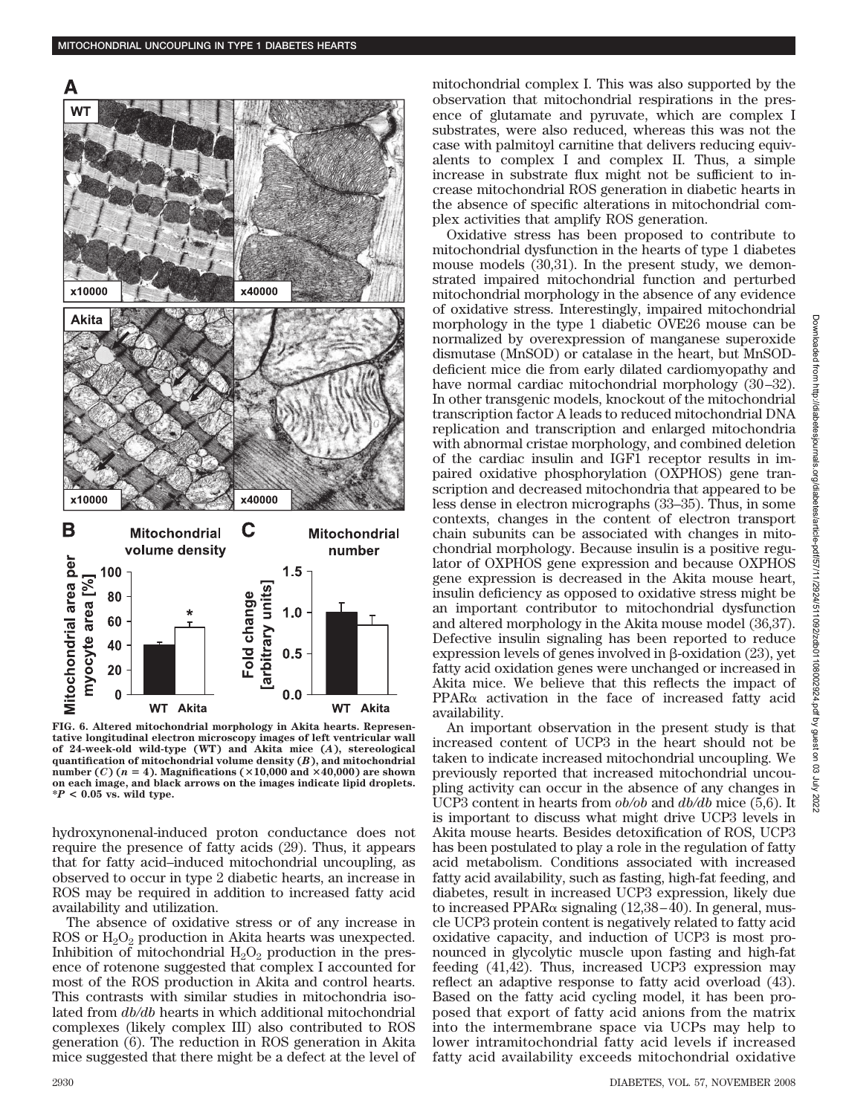

**FIG. 6. Altered mitochondrial morphology in Akita hearts. Representative longitudinal electron microscopy images of left ventricular wall of 24-week-old wild-type (WT) and Akita mice (***A***), stereological quantification of mitochondrial volume density (***B***), and mitochondrial number** (*C*) ( $n = 4$ ). Magnifications ( $\times$ 10,000 and  $\times$ 40,000) are shown **on each image, and black arrows on the images indicate lipid droplets. \****P* **< 0.05 vs. wild type.**

hydroxynonenal-induced proton conductance does not require the presence of fatty acids (29). Thus, it appears that for fatty acid–induced mitochondrial uncoupling, as observed to occur in type 2 diabetic hearts, an increase in ROS may be required in addition to increased fatty acid availability and utilization.

The absence of oxidative stress or of any increase in ROS or  $H_2O_2$  production in Akita hearts was unexpected. Inhibition of mitochondrial  $H_2O_2$  production in the presence of rotenone suggested that complex I accounted for most of the ROS production in Akita and control hearts. This contrasts with similar studies in mitochondria isolated from *db/db* hearts in which additional mitochondrial complexes (likely complex III) also contributed to ROS generation (6). The reduction in ROS generation in Akita mice suggested that there might be a defect at the level of mitochondrial complex I. This was also supported by the observation that mitochondrial respirations in the presence of glutamate and pyruvate, which are complex I substrates, were also reduced, whereas this was not the case with palmitoyl carnitine that delivers reducing equivalents to complex I and complex II. Thus, a simple increase in substrate flux might not be sufficient to increase mitochondrial ROS generation in diabetic hearts in the absence of specific alterations in mitochondrial complex activities that amplify ROS generation.

Oxidative stress has been proposed to contribute to mitochondrial dysfunction in the hearts of type 1 diabetes mouse models (30,31). In the present study, we demonstrated impaired mitochondrial function and perturbed mitochondrial morphology in the absence of any evidence of oxidative stress. Interestingly, impaired mitochondrial morphology in the type 1 diabetic OVE26 mouse can be normalized by overexpression of manganese superoxide dismutase (MnSOD) or catalase in the heart, but MnSODdeficient mice die from early dilated cardiomyopathy and have normal cardiac mitochondrial morphology (30–32). In other transgenic models, knockout of the mitochondrial transcription factor A leads to reduced mitochondrial DNA replication and transcription and enlarged mitochondria with abnormal cristae morphology, and combined deletion of the cardiac insulin and IGF1 receptor results in impaired oxidative phosphorylation (OXPHOS) gene transcription and decreased mitochondria that appeared to be less dense in electron micrographs (33–35). Thus, in some contexts, changes in the content of electron transport chain subunits can be associated with changes in mitochondrial morphology. Because insulin is a positive regulator of OXPHOS gene expression and because OXPHOS gene expression is decreased in the Akita mouse heart, insulin deficiency as opposed to oxidative stress might be an important contributor to mitochondrial dysfunction and altered morphology in the Akita mouse model (36,37). Defective insulin signaling has been reported to reduce expression levels of genes involved in  $\beta$ -oxidation (23), yet fatty acid oxidation genes were unchanged or increased in Akita mice. We believe that this reflects the impact of  $PPAR\alpha$  activation in the face of increased fatty acid availability.

An important observation in the present study is that increased content of UCP3 in the heart should not be taken to indicate increased mitochondrial uncoupling. We previously reported that increased mitochondrial uncoupling activity can occur in the absence of any changes in UCP3 content in hearts from *ob/ob* and *db/db* mice (5,6). It is important to discuss what might drive UCP3 levels in Akita mouse hearts. Besides detoxification of ROS, UCP3 has been postulated to play a role in the regulation of fatty acid metabolism. Conditions associated with increased fatty acid availability, such as fasting, high-fat feeding, and diabetes, result in increased UCP3 expression, likely due to increased PPAR $\alpha$  signaling (12,38–40). In general, muscle UCP3 protein content is negatively related to fatty acid oxidative capacity, and induction of UCP3 is most pronounced in glycolytic muscle upon fasting and high-fat feeding (41,42). Thus, increased UCP3 expression may reflect an adaptive response to fatty acid overload (43). Based on the fatty acid cycling model, it has been proposed that export of fatty acid anions from the matrix into the intermembrane space via UCPs may help to lower intramitochondrial fatty acid levels if increased fatty acid availability exceeds mitochondrial oxidative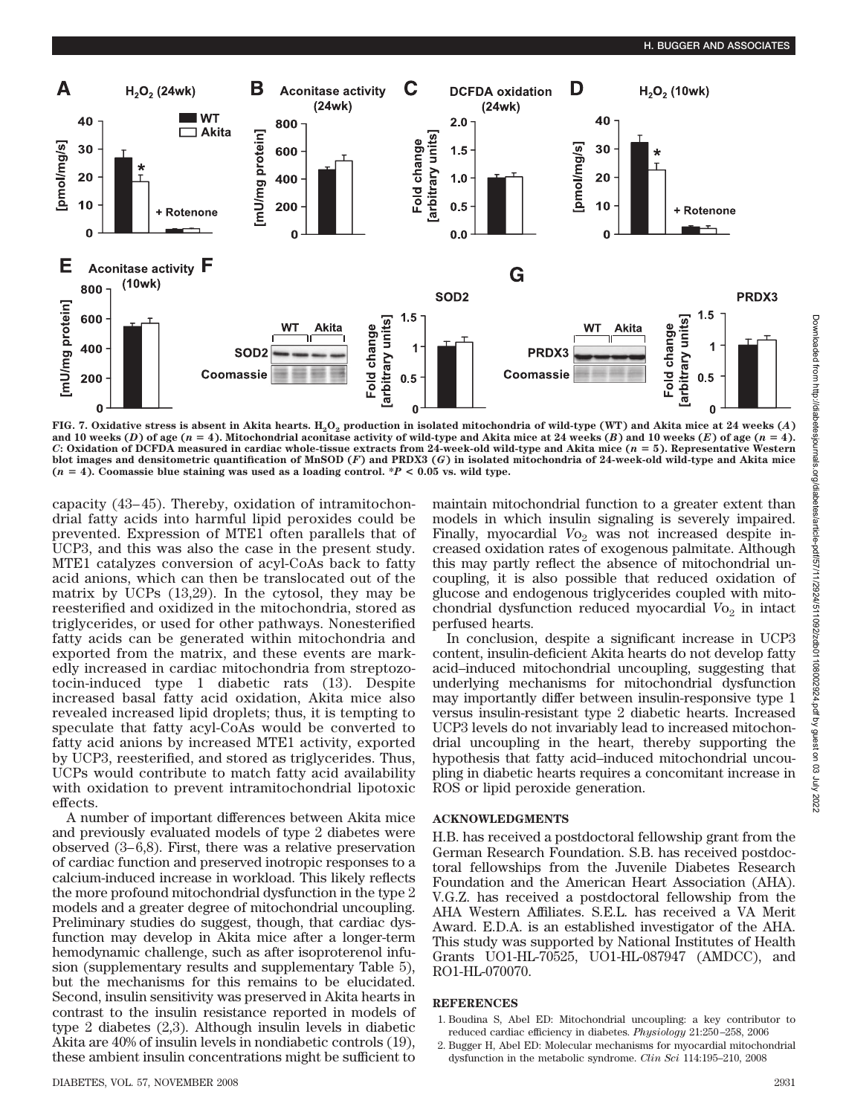

**FIG. 7. Oxidative stress is absent in Akita hearts.**  $H_2O_2$  **production in isolated mitochondria of wild-type (WT) and Akita mice at 24 weeks (***A***)** and 10 weeks (*D*) of age ( $n = 4$ ). Mitochondrial aconitase activity of wild-type and Akita mice at 24 weeks (*B*) and 10 weeks (*E*) of age ( $n = 4$ ). *C***: Oxidation of DCFDA measured in cardiac whole-tissue extracts from 24-week-old wild-type and Akita mice (***n* **5). Representative Western blot images and densitometric quantification of MnSOD (***F***) and PRDX3 (***G***) in isolated mitochondria of 24-week-old wild-type and Akita mice**  $(n = 4)$ . Coomassie blue staining was used as a loading control. \* $P < 0.05$  vs. wild type.

capacity (43–45). Thereby, oxidation of intramitochondrial fatty acids into harmful lipid peroxides could be prevented. Expression of MTE1 often parallels that of UCP3, and this was also the case in the present study. MTE1 catalyzes conversion of acyl-CoAs back to fatty acid anions, which can then be translocated out of the matrix by UCPs (13,29). In the cytosol, they may be reesterified and oxidized in the mitochondria, stored as triglycerides, or used for other pathways. Nonesterified fatty acids can be generated within mitochondria and exported from the matrix, and these events are markedly increased in cardiac mitochondria from streptozotocin-induced type 1 diabetic rats (13). Despite increased basal fatty acid oxidation, Akita mice also revealed increased lipid droplets; thus, it is tempting to speculate that fatty acyl-CoAs would be converted to fatty acid anions by increased MTE1 activity, exported by UCP3, reesterified, and stored as triglycerides. Thus, UCPs would contribute to match fatty acid availability with oxidation to prevent intramitochondrial lipotoxic effects.

A number of important differences between Akita mice and previously evaluated models of type 2 diabetes were observed (3–6,8). First, there was a relative preservation of cardiac function and preserved inotropic responses to a calcium-induced increase in workload. This likely reflects the more profound mitochondrial dysfunction in the type 2 models and a greater degree of mitochondrial uncoupling. Preliminary studies do suggest, though, that cardiac dysfunction may develop in Akita mice after a longer-term hemodynamic challenge, such as after isoproterenol infusion (supplementary results and supplementary Table 5), but the mechanisms for this remains to be elucidated. Second, insulin sensitivity was preserved in Akita hearts in contrast to the insulin resistance reported in models of type 2 diabetes (2,3). Although insulin levels in diabetic Akita are 40% of insulin levels in nondiabetic controls (19), these ambient insulin concentrations might be sufficient to

maintain mitochondrial function to a greater extent than models in which insulin signaling is severely impaired. Finally, myocardial Vo<sub>2</sub> was not increased despite increased oxidation rates of exogenous palmitate. Although this may partly reflect the absence of mitochondrial uncoupling, it is also possible that reduced oxidation of glucose and endogenous triglycerides coupled with mitochondrial dysfunction reduced myocardial  $V_{{\mathcal{O}}_2}$  in intact perfused hearts.

In conclusion, despite a significant increase in UCP3 content, insulin-deficient Akita hearts do not develop fatty acid–induced mitochondrial uncoupling, suggesting that underlying mechanisms for mitochondrial dysfunction may importantly differ between insulin-responsive type 1 versus insulin-resistant type 2 diabetic hearts. Increased UCP3 levels do not invariably lead to increased mitochondrial uncoupling in the heart, thereby supporting the hypothesis that fatty acid–induced mitochondrial uncoupling in diabetic hearts requires a concomitant increase in ROS or lipid peroxide generation.

## **ACKNOWLEDGMENTS**

H.B. has received a postdoctoral fellowship grant from the German Research Foundation. S.B. has received postdoctoral fellowships from the Juvenile Diabetes Research Foundation and the American Heart Association (AHA). V.G.Z. has received a postdoctoral fellowship from the AHA Western Affiliates. S.E.L. has received a VA Merit Award. E.D.A. is an established investigator of the AHA. This study was supported by National Institutes of Health Grants UO1-HL-70525, UO1-HL-087947 (AMDCC), and RO1-HL-070070.

## **REFERENCES**

- 1. Boudina S, Abel ED: Mitochondrial uncoupling: a key contributor to reduced cardiac efficiency in diabetes. *Physiology* 21:250–258, 2006
- 2. Bugger H, Abel ED: Molecular mechanisms for myocardial mitochondrial dysfunction in the metabolic syndrome. *Clin Sci* 114:195–210, 2008